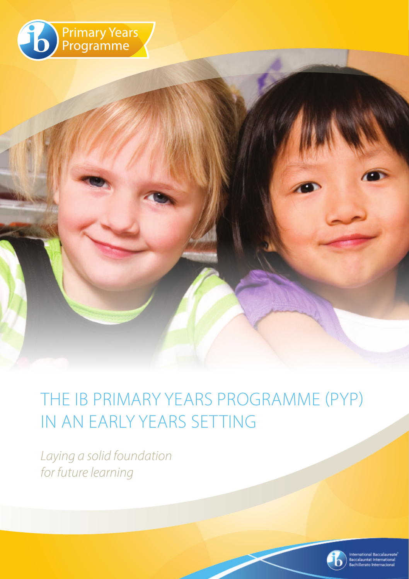

## THE IB PRIMARY YEARS PROGRAMME (PYP) IN AN EARLY YEARS SETTING

*Laying a solid foundation for future learning*

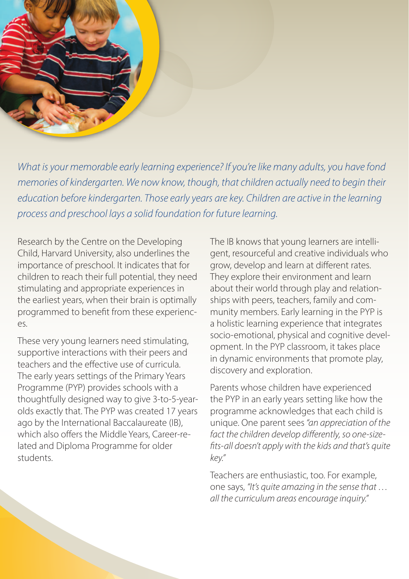

*What is your memorable early learning experience? If you're like many adults, you have fond memories of kindergarten. We now know, though, that children actually need to begin their education before kindergarten. Those early years are key. Children are active in the learning process and preschool lays a solid foundation for future learning.* 

Research by the Centre on the Developing Child, Harvard University, also underlines the importance of preschool. It indicates that for children to reach their full potential, they need stimulating and appropriate experiences in the earliest years, when their brain is optimally programmed to benefit from these experienc- $\rho_S$ 

These very young learners need stimulating, supportive interactions with their peers and teachers and the effective use of curricula. The early years settings of the Primary Years Programme (PYP) provides schools with a thoughtfully designed way to give 3-to-5-yearolds exactly that. The PYP was created 17 years ago by the International Baccalaureate (IB), which also offers the Middle Years, Career-related and Diploma Programme for older students.

The IB knows that young learners are intelligent, resourceful and creative individuals who grow, develop and learn at different rates. They explore their environment and learn about their world through play and relationships with peers, teachers, family and community members. Early learning in the PYP is a holistic learning experience that integrates socio-emotional, physical and cognitive development. In the PYP classroom, it takes place in dynamic environments that promote play, discovery and exploration.

Parents whose children have expe the PYP in an early years setting li programme acknowledges that e unique. One parent sees "an appre fact the children develop differently, *fits-all doesn't apply with the kids and that key."*

Teachers are enthusiastic, too. For one says, *"It's quite amazing in the all the curriculum areas encourage*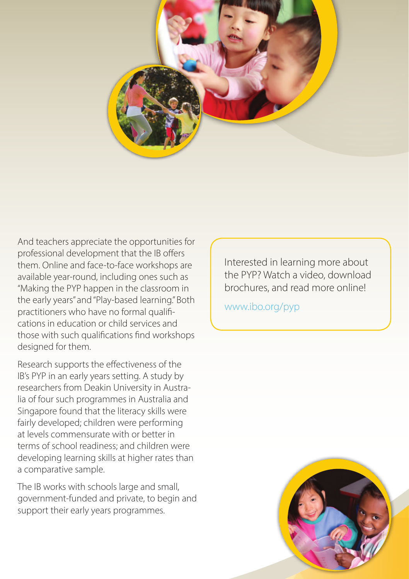

And teachers appreciate the opportunities for professional development that the IB offers them. Online and face-to-face workshops are available year-round, including ones such as "Making the PYP happen in the classroom in the early years" and "Play-based learning." Both practitioners who have no formal qualifications in education or child services and those with such qualifications find workshops designed for them.

Research supports the effectiveness of the IB's PYP in an early years setting. A study by

> om Deakin University in Austrah programmes in Australia and and that the literacy skills were ed: children were performing mensurate with or better in ol readiness; and children were arning skills at higher rates than e sample.

with schools large and small, funded and private, to begin and early years programmes.

Interested in learning more about the PYP? Watch a video, download brochures, and read more online!

www.ibo.org/pyp